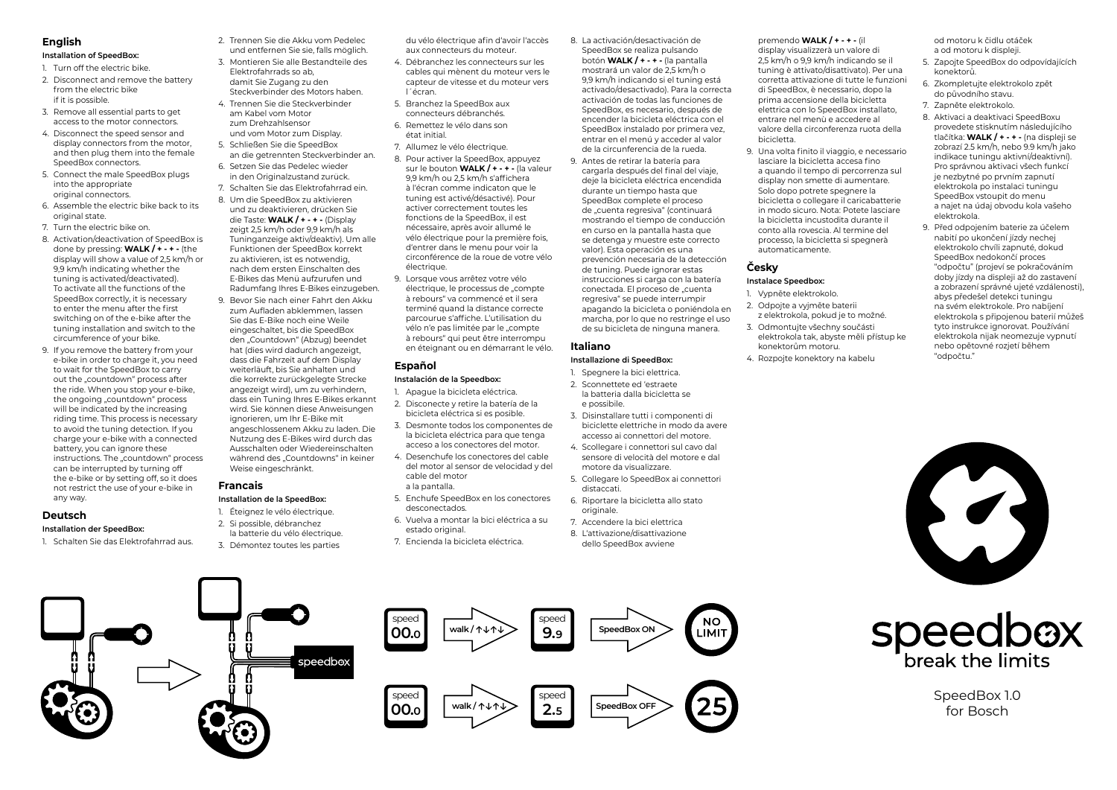#### **English**

#### **Installation of SpeedBox:**

- 1. Turn off the electric bike.
- 2. Disconnect and remove the battery from the electric bike if it is possible.
- 3. Remove all essential parts to get access to the motor connectors.
- 4. Disconnect the speed sensor and display connectors from the motor, and then plug them into the female SpeedBox connectors.
- 5. Connect the male SpeedBox plugs into the appropriate original connectors.
- 6. Assemble the electric bike back to its original state.
- 7. Turn the electric bike on.
- 8. Activation/deactivation of SpeedBox is done by pressing: **WALK / + - + -** (the display will show a value of 2,5 km/h or 9,9 km/h indicating whether the tuning is activated/deactivated). To activate all the functions of the SneedBox correctly, it is necessary to enter the menu after the first switching on of the e-bike after the tuning installation and switch to the circumference of your bike.
- 9. If you remove the battery from your e-bike in order to charge it, you need to wait for the SpeedBox to carry out the "countdown" process after the ride. When you stop your e-bike, the ongoing "countdown" process will be indicated by the increasing riding time. This process is necessary to avoid the tuning detection. If you charge your e-bike with a connected battery, you can ignore these instructions. The "countdown" process can be interrupted by turning off the e-bike or by setting off, so it does not restrict the use of your e-bike in any way.

#### **Deutsch**

#### **Installation der SpeedBox:**

1. Schalten Sie das Elektrofahrrad aus.

- 2. Trennen Sie die Akku vom Pedelec und entfernen Sie sie, falls möglich.
- 3. Montieren Sie alle Bestandteile des Elektrofahrrads so ab, damit Sie Zugang zu den Steckverbinder des Motors haben.
- 4. Trennen Sie die Steckverbinder am Kabel vom Motor zum Drehzahlsensor und vom Motor zum Display.
- 5. Schließen Sie die SpeedBox an die getrennten Steckverbinder an.
- 6. Setzen Sie das Pedelec wieder in den Originalzustand zurück.
- 7. Schalten Sie das Elektrofahrrad ein.
- 8. Um die SpeedBox zu aktivieren und zu deaktivieren, drücken Sie die Taste: **WALK / + - + -** (Display zeigt 2,5 km/h oder 9,9 km/h als Tuninganzeige aktiv/deaktiv). Um alle Funktionen der SpeedBox korrekt zu aktivieren, ist es notwendig, nach dem ersten Einschalten des E-Bikes das Menü aufzurufen und Radumfang Ihres E-Bikes einzugeben.
- 9. Bevor Sie nach einer Fahrt den Akku zum Aufladen abklemmen, lassen Sie das E-Bike noch eine Weile eingeschaltet, bis die SpeedBox den "Countdown" (Abzug) beendet hat (dies wird dadurch angezeigt, dass die Fahrzeit auf dem Display weiterläuft, bis Sie anhalten und die korrekte zurückgelegte Strecke angezeigt wird), um zu verhindern, dass ein Tuning Ihres E-Bikes erkannt wird. Sie können diese Anweisungen ignorieren, um Ihr E-Bike mit angeschlossenem Akku zu laden. Die Nutzung des E-Bikes wird durch das Ausschalten oder Wiedereinschalten während des "Countdowns" in keiner Weise eingeschränkt.

#### **Installation de la SpeedBox:**

- 1. Éteignez le vélo électrique.
- 2. Si possible, débranchez la batterie du vélo électrique.
- 3. Démontez toutes les parties
- du vélo électrique afin d'avoir l'accès aux connecteurs du moteur.
- 4. Débranchez les connecteurs sur les cables qui mènent du moteur vers le capteur de vitesse et du moteur vers l´écran.
- 5. Branchez la SpeedBox aux connecteurs débranchés.
- 6. Remettez le vélo dans son état initial.
- 7. Allumez le vélo électrique.
- 8. Pour activer la SpeedBox, appuyez sur le bouton **WALK / + - + -** (la valeur 9,9 km/h ou 2,5 km/h s'affichera à l'écran comme indicaton que le tuning est activé/désactivé). Pour activer correctement toutes les fonctions de la SpeedBox, il est nécessaire, après avoir allumé le vélo électrique pour la première fois, d'entrer dans le menu pour voir la circonférence de la roue de votre vélo électrique.
- 9. Lorsque vous arrêtez votre vélo électrique, le processus de "compte à rebours" va commencé et il sera terminé quand la distance correcte parcourue s'affiche. L'utilisation du vélo n'e pas limitée par le "compte à rebours" qui peut être interrompu en éteignant ou en démarrant le vélo.

#### **Español**

#### **Instalación de la Speedbox:**

- 1. Apague la bicicleta eléctrica. 2. Disconecte y retire la batería de la bicicleta eléctrica si es posible.
- 3. Desmonte todos los componentes de la bicicleta eléctrica para que tenga acceso a los conectores del motor.
- 4. Desenchufe los conectores del cable del motor al sensor de velocidad y del cable del motor a la pantalla.
- 5. Enchufe SpeedBox en los conectores desconectados.
- 6. Vuelva a montar la bici eléctrica a su estado original.
- 7. Encienda la bicicleta eléctrica.
- 8. La activación/desactivación de SpeedBox se realiza pulsando botón **WALK / + - + -** (la pantalla mostrará un valor de 2,5 km/h o 9,9 km/h indicando si el tuning está activado/desactivado). Para la correcta activación de todas las funciones de SpeedBox, es necesario, después de encender la bicicleta eléctrica con el SpeedBox instalado por primera vez, entrar en el menú y acceder al valor de la circunferencia de la rueda.
- 9. Antes de retirar la batería para cargarla después del final del viaje, deje la bicicleta eléctrica encendida durante un tiempo hasta que SpeedBox complete el proceso de "cuenta regresiva" (continuará mostrando el tiempo de conducción en curso en la pantalla hasta que se detenga y muestre este correcto valor). Esta operación es una prevención necesaria de la detección de tuning. Puede ignorar estas instrucciones si carga con la batería conectada. El proceso de "cuenta regresiva" se puede interrumpir apagando la bicicleta o poniéndola en marcha, por lo que no restringe el uso de su bicicleta de ninguna manera.

### **Italiano**

## **Installazione di SpeedBox:**

- 1. Spegnere la bici elettrica. 2. Sconnettete ed 'estraete la batteria dalla bicicletta se e possibile.
- 3. Disinstallare tutti i componenti di biciclette elettriche in modo da avere accesso ai connettori del motore.
- 4. Scollegare i connettori sul cavo dal sensore di velocità del motore e dal motore da visualizzare.
- 5. Collegare lo SpeedBox ai connettori dictographi
- 6. Riportare la bicicletta allo stato originale.
- 7. Accendere la bici elettrica
- 8. L'attivazione/disattivazione dello SpeedBox avviene

premendo **WALK / + - + -** (il display visualizzerà un valore di 2,5 km/h o 9,9 km/h indicando se il tuning è attivato/disattivato). Per una corretta attivazione di tutte le funzioni di SpeedBox, è necessario, dopo la prima accensione della bicicletta elettrica con lo SpeedBox installato, entrare nel menù e accedere al valore della circonferenza ruota della bicicletta.

9. Una volta finito il viaggio, e necessario lasciare la bicicletta accesa fino a quando il tempo di percorrenza sul display non smette di aumentare. Solo dopo potrete spegnere la bicicletta o collegare il caricabatterie in modo sicuro. Nota: Potete lasciare la bicicletta incustodita durante il conto alla rovescia. Al termine del processo, la bicicletta si spegnerà automaticamente.

## **Česky**

## **Instalace Speedbox:**

- 1. Vypněte elektrokolo.
- 2. Odpojte a vyjměte baterii z elektrokola, pokud je to možné. 3. Odmontujte všechny součásti
- elektrokola tak, abyste měli přístup ke konektorům motoru.
- 4. Rozpojte konektory na kabelu

od motoru k čidlu otáček a od motoru k displeji.

- 5. Zapojte SpeedBox do odpovídajících konektorů.
- 6. Zkompletujte elektrokolo zpět do původního stavu.
- 7. Zapněte elektrokolo.
- 8. Aktivaci a deaktivaci SpeedBoxu provedete stisknutím následujícího tlačítka: **WALK / + - + -** (na displeji se zobrazí 2.5 km/h, nebo 9.9 km/h jako indikace tuningu aktivní/deaktivní). Pro správnou aktivaci všech funkcí je nezbytné po prvním zapnutí elektrokola po instalaci tuningu SpeedBox vstoupit do menu a najet na údaj obvodu kola vašeho elektrokola.
- 9. Před odpojením baterie za účelem nabití po ukončení jízdy nechej elektrokolo chvíli zapnuté, dokud SpeedBox nedokončí proces "odpočtu" (projeví se pokračováním doby jízdy na displeji až do zastavení a zobrazení správné ujeté vzdálenosti), abys předešel detekci tuningu na svém elektrokole. Pro nabíjení elektrokola s připojenou baterií můžeš tyto instrukce ignorovat. Používání elektrokola nijak neomezuje vypnutí nebo opětovné rozjetí během "odpočtu."





SpeedBox 1.0 for Bosch







**Francais**